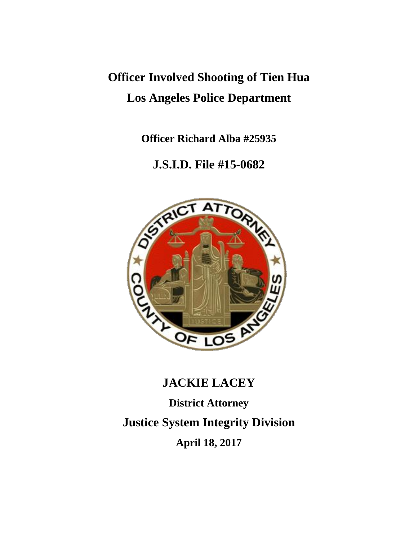# **Officer Involved Shooting of Tien Hua Los Angeles Police Department**

**Officer Richard Alba #25935**

# **J.S.I.D. File #15-0682**



# **JACKIE LACEY**

**District Attorney Justice System Integrity Division April 18, 2017**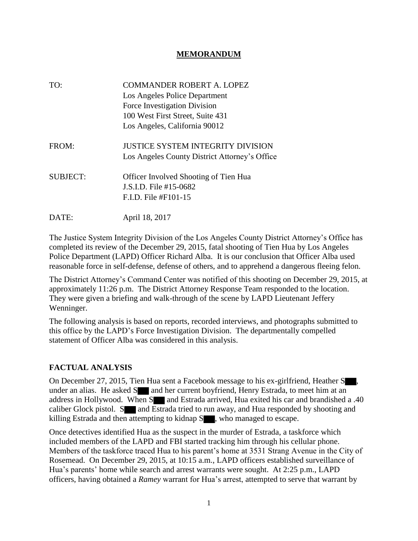### **MEMORANDUM**

| TO:             | <b>COMMANDER ROBERT A. LOPEZ</b><br>Los Angeles Police Department<br>Force Investigation Division<br>100 West First Street, Suite 431<br>Los Angeles, California 90012 |
|-----------------|------------------------------------------------------------------------------------------------------------------------------------------------------------------------|
| FROM:           | JUSTICE SYSTEM INTEGRITY DIVISION<br>Los Angeles County District Attorney's Office                                                                                     |
| <b>SUBJECT:</b> | <b>Officer Involved Shooting of Tien Hua</b><br>J.S.I.D. File #15-0682<br>$F.L.D.$ File $#F101-15$                                                                     |
| DATE:           | April 18, 2017                                                                                                                                                         |

The Justice System Integrity Division of the Los Angeles County District Attorney's Office has completed its review of the December 29, 2015, fatal shooting of Tien Hua by Los Angeles Police Department (LAPD) Officer Richard Alba. It is our conclusion that Officer Alba used reasonable force in self-defense, defense of others, and to apprehend a dangerous fleeing felon.

The District Attorney's Command Center was notified of this shooting on December 29, 2015, at approximately 11:26 p.m. The District Attorney Response Team responded to the location. They were given a briefing and walk-through of the scene by LAPD Lieutenant Jeffery Wenninger.

The following analysis is based on reports, recorded interviews, and photographs submitted to this office by the LAPD's Force Investigation Division. The departmentally compelled statement of Officer Alba was considered in this analysis.

#### **FACTUAL ANALYSIS**

On December 27, 2015, Tien Hua sent a Facebook message to his ex-girlfriend, Heather S , under an alias. He asked  $S$  and her current boyfriend, Henry Estrada, to meet him at an address in Hollywood. When S**ollar and Estrada arrived**, Hua exited his car and brandished a .40 caliber Glock pistol.  $S$  and Estrada tried to run away, and Hua responded by shooting and killing Estrada and then attempting to kidnap S , who managed to escape.

Once detectives identified Hua as the suspect in the murder of Estrada, a taskforce which included members of the LAPD and FBI started tracking him through his cellular phone. Members of the taskforce traced Hua to his parent's home at 3531 Strang Avenue in the City of Rosemead. On December 29, 2015, at 10:15 a.m., LAPD officers established surveillance of Hua's parents' home while search and arrest warrants were sought. At 2:25 p.m., LAPD officers, having obtained a *Ramey* warrant for Hua's arrest, attempted to serve that warrant by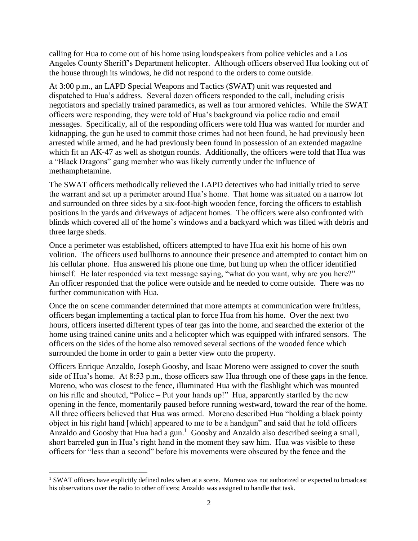calling for Hua to come out of his home using loudspeakers from police vehicles and a Los Angeles County Sheriff's Department helicopter. Although officers observed Hua looking out of the house through its windows, he did not respond to the orders to come outside.

At 3:00 p.m., an LAPD Special Weapons and Tactics (SWAT) unit was requested and dispatched to Hua's address. Several dozen officers responded to the call, including crisis negotiators and specially trained paramedics, as well as four armored vehicles. While the SWAT officers were responding, they were told of Hua's background via police radio and email messages. Specifically, all of the responding officers were told Hua was wanted for murder and kidnapping, the gun he used to commit those crimes had not been found, he had previously been arrested while armed, and he had previously been found in possession of an extended magazine which fit an AK-47 as well as shotgun rounds. Additionally, the officers were told that Hua was a "Black Dragons" gang member who was likely currently under the influence of methamphetamine.

The SWAT officers methodically relieved the LAPD detectives who had initially tried to serve the warrant and set up a perimeter around Hua's home. That home was situated on a narrow lot and surrounded on three sides by a six-foot-high wooden fence, forcing the officers to establish positions in the yards and driveways of adjacent homes. The officers were also confronted with blinds which covered all of the home's windows and a backyard which was filled with debris and three large sheds.

Once a perimeter was established, officers attempted to have Hua exit his home of his own volition. The officers used bullhorns to announce their presence and attempted to contact him on his cellular phone. Hua answered his phone one time, but hung up when the officer identified himself. He later responded via text message saying, "what do you want, why are you here?" An officer responded that the police were outside and he needed to come outside. There was no further communication with Hua.

Once the on scene commander determined that more attempts at communication were fruitless, officers began implementing a tactical plan to force Hua from his home. Over the next two hours, officers inserted different types of tear gas into the home, and searched the exterior of the home using trained canine units and a helicopter which was equipped with infrared sensors. The officers on the sides of the home also removed several sections of the wooded fence which surrounded the home in order to gain a better view onto the property.

Officers Enrique Anzaldo, Joseph Goosby, and Isaac Moreno were assigned to cover the south side of Hua's home. At 8:53 p.m., those officers saw Hua through one of these gaps in the fence. Moreno, who was closest to the fence, illuminated Hua with the flashlight which was mounted on his rifle and shouted, "Police – Put your hands up!" Hua, apparently startled by the new opening in the fence, momentarily paused before running westward, toward the rear of the home. All three officers believed that Hua was armed. Moreno described Hua "holding a black pointy object in his right hand [which] appeared to me to be a handgun" and said that he told officers Anzaldo and Goosby that Hua had a gun. $<sup>1</sup>$  Goosby and Anzaldo also described seeing a small,</sup> short barreled gun in Hua's right hand in the moment they saw him. Hua was visible to these officers for "less than a second" before his movements were obscured by the fence and the

 $\overline{\phantom{a}}$ <sup>1</sup> SWAT officers have explicitly defined roles when at a scene. Moreno was not authorized or expected to broadcast his observations over the radio to other officers; Anzaldo was assigned to handle that task.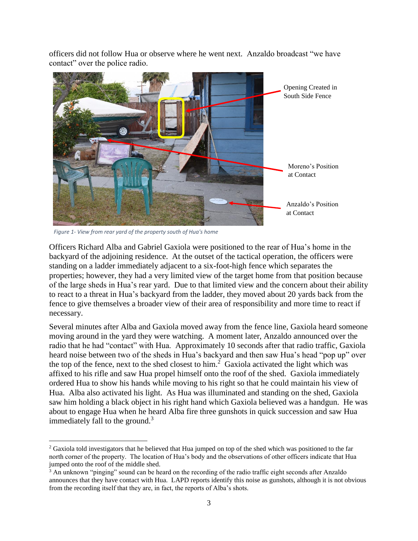officers did not follow Hua or observe where he went next. Anzaldo broadcast "we have contact" over the police radio.



*Figure 1- View from rear yard of the property south of Hua's home*

l

Officers Richard Alba and Gabriel Gaxiola were positioned to the rear of Hua's home in the backyard of the adjoining residence. At the outset of the tactical operation, the officers were standing on a ladder immediately adjacent to a six-foot-high fence which separates the properties; however, they had a very limited view of the target home from that position because of the large sheds in Hua's rear yard. Due to that limited view and the concern about their ability to react to a threat in Hua's backyard from the ladder, they moved about 20 yards back from the fence to give themselves a broader view of their area of responsibility and more time to react if necessary.

Several minutes after Alba and Gaxiola moved away from the fence line, Gaxiola heard someone moving around in the yard they were watching. A moment later, Anzaldo announced over the radio that he had "contact" with Hua. Approximately 10 seconds after that radio traffic, Gaxiola heard noise between two of the sheds in Hua's backyard and then saw Hua's head "pop up" over the top of the fence, next to the shed closest to him.<sup>2</sup> Gaxiola activated the light which was affixed to his rifle and saw Hua propel himself onto the roof of the shed. Gaxiola immediately ordered Hua to show his hands while moving to his right so that he could maintain his view of Hua. Alba also activated his light. As Hua was illuminated and standing on the shed, Gaxiola saw him holding a black object in his right hand which Gaxiola believed was a handgun. He was about to engage Hua when he heard Alba fire three gunshots in quick succession and saw Hua immediately fall to the ground. $3$ 

<sup>&</sup>lt;sup>2</sup> Gaxiola told investigators that he believed that Hua jumped on top of the shed which was positioned to the far north corner of the property. The location of Hua's body and the observations of other officers indicate that Hua jumped onto the roof of the middle shed.

<sup>3</sup> An unknown "pinging" sound can be heard on the recording of the radio traffic eight seconds after Anzaldo announces that they have contact with Hua. LAPD reports identify this noise as gunshots, although it is not obvious from the recording itself that they are, in fact, the reports of Alba's shots.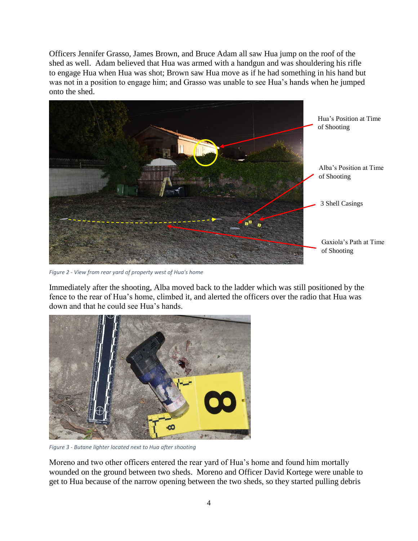Officers Jennifer Grasso, James Brown, and Bruce Adam all saw Hua jump on the roof of the shed as well. Adam believed that Hua was armed with a handgun and was shouldering his rifle to engage Hua when Hua was shot; Brown saw Hua move as if he had something in his hand but was not in a position to engage him; and Grasso was unable to see Hua's hands when he jumped onto the shed.



*Figure 2 - View from rear yard of property west of Hua's home*

Immediately after the shooting, Alba moved back to the ladder which was still positioned by the fence to the rear of Hua's home, climbed it, and alerted the officers over the radio that Hua was down and that he could see Hua's hands.



*Figure 3 - Butane lighter located next to Hua after shooting*

Moreno and two other officers entered the rear yard of Hua's home and found him mortally wounded on the ground between two sheds. Moreno and Officer David Kortege were unable to get to Hua because of the narrow opening between the two sheds, so they started pulling debris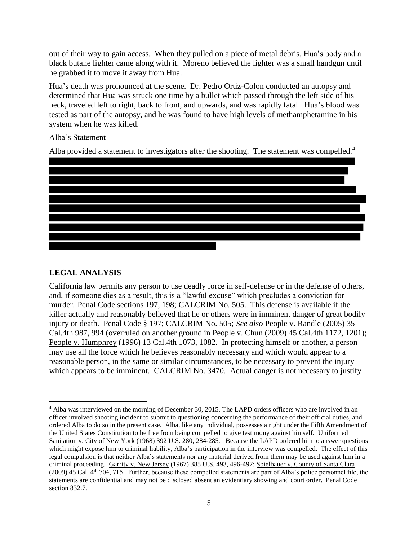out of their way to gain access. When they pulled on a piece of metal debris, Hua's body and a black butane lighter came along with it. Moreno believed the lighter was a small handgun until he grabbed it to move it away from Hua.

Hua's death was pronounced at the scene. Dr. Pedro Ortiz-Colon conducted an autopsy and determined that Hua was struck one time by a bullet which passed through the left side of his neck, traveled left to right, back to front, and upwards, and was rapidly fatal. Hua's blood was tested as part of the autopsy, and he was found to have high levels of methamphetamine in his system when he was killed.

## Alba's Statement

Alba provided a statement to investigators after the shooting. The statement was compelled. $4$ 



# **LEGAL ANALYSIS**

California law permits any person to use deadly force in self-defense or in the defense of others, and, if someone dies as a result, this is a "lawful excuse" which precludes a conviction for murder. Penal Code sections 197, 198; CALCRIM No. 505. This defense is available if the killer actually and reasonably believed that he or others were in imminent danger of great bodily injury or death. Penal Code § 197; CALCRIM No. 505; *See also* People v. Randle (2005) 35 Cal.4th 987, 994 (overruled on another ground in People v. Chun (2009) 45 Cal.4th 1172, 1201); People v. Humphrey (1996) 13 Cal.4th 1073, 1082. In protecting himself or another, a person may use all the force which he believes reasonably necessary and which would appear to a reasonable person, in the same or similar circumstances, to be necessary to prevent the injury which appears to be imminent. CALCRIM No. 3470. Actual danger is not necessary to justify

 $\overline{a}$ <sup>4</sup> Alba was interviewed on the morning of December 30, 2015. The LAPD orders officers who are involved in an officer involved shooting incident to submit to questioning concerning the performance of their official duties, and ordered Alba to do so in the present case. Alba, like any individual, possesses a right under the Fifth Amendment of the United States Constitution to be free from being compelled to give testimony against himself. Uniformed Sanitation v. City of New York (1968) 392 U.S. 280*,* 284-285*.* Because the LAPD ordered him to answer questions which might expose him to criminal liability, Alba's participation in the interview was compelled. The effect of this legal compulsion is that neither Alba's statements nor any material derived from them may be used against him in a criminal proceeding. Garrity v. New Jersey (1967) 385 U.S. 493, 496-497; Spielbauer v. County of Santa Clara (2009) 45 Cal.  $4<sup>th</sup> 704$ , 715. Further, because these compelled statements are part of Alba's police personnel file, the statements are confidential and may not be disclosed absent an evidentiary showing and court order. Penal Code section 832.7.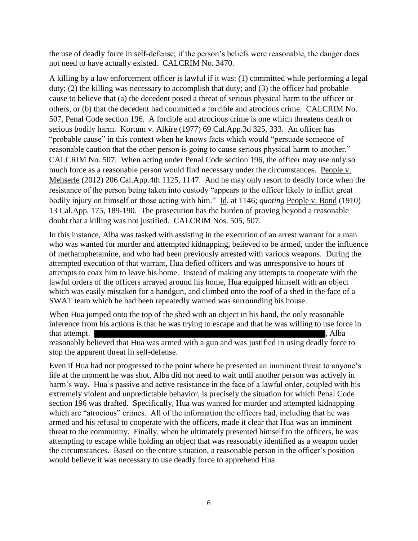the use of deadly force in self-defense; if the person's beliefs were reasonable, the danger does not need to have actually existed. CALCRIM No. 3470.

A killing by a law enforcement officer is lawful if it was: (1) committed while performing a legal duty; (2) the killing was necessary to accomplish that duty; and (3) the officer had probable cause to believe that (a) the decedent posed a threat of serious physical harm to the officer or others, or (b) that the decedent had committed a forcible and atrocious crime. CALCRIM No. 507, Penal Code section 196. A forcible and atrocious crime is one which threatens death or serious bodily harm. Kortum v. Alkire (1977) 69 Cal.App.3d 325, 333. An officer has "probable cause" in this context when he knows facts which would "persuade someone of reasonable caution that the other person is going to cause serious physical harm to another." CALCRIM No. 507. When acting under Penal Code section 196, the officer may use only so much force as a reasonable person would find necessary under the circumstances. People v. Mehserle (2012) 206 Cal.App.4th 1125, 1147. And he may only resort to deadly force when the resistance of the person being taken into custody "appears to the officer likely to inflict great bodily injury on himself or those acting with him." Id. at 1146; *quoting* People v. Bond (1910) 13 Cal.App. 175, 189-190. The prosecution has the burden of proving beyond a reasonable doubt that a killing was not justified. CALCRIM Nos. 505, 507.

In this instance, Alba was tasked with assisting in the execution of an arrest warrant for a man who was wanted for murder and attempted kidnapping, believed to be armed, under the influence of methamphetamine, and who had been previously arrested with various weapons. During the attempted execution of that warrant, Hua defied officers and was unresponsive to hours of attempts to coax him to leave his home. Instead of making any attempts to cooperate with the lawful orders of the officers arrayed around his home, Hua equipped himself with an object which was easily mistaken for a handgun, and climbed onto the roof of a shed in the face of a SWAT team which he had been repeatedly warned was surrounding his house.

When Hua jumped onto the top of the shed with an object in his hand, the only reasonable inference from his actions is that he was trying to escape and that he was willing to use force in that attempt. Alba reasonably believed that Hua was armed with a gun and was justified in using deadly force to stop the apparent threat in self-defense.

Even if Hua had not progressed to the point where he presented an imminent threat to anyone's life at the moment he was shot, Alba did not need to wait until another person was actively in harm's way. Hua's passive and active resistance in the face of a lawful order, coupled with his extremely violent and unpredictable behavior, is precisely the situation for which Penal Code section 196 was drafted. Specifically, Hua was wanted for murder and attempted kidnapping which are "atrocious" crimes. All of the information the officers had, including that he was armed and his refusal to cooperate with the officers, made it clear that Hua was an imminent threat to the community. Finally, when he ultimately presented himself to the officers, he was attempting to escape while holding an object that was reasonably identified as a weapon under the circumstances. Based on the entire situation, a reasonable person in the officer's position would believe it was necessary to use deadly force to apprehend Hua.